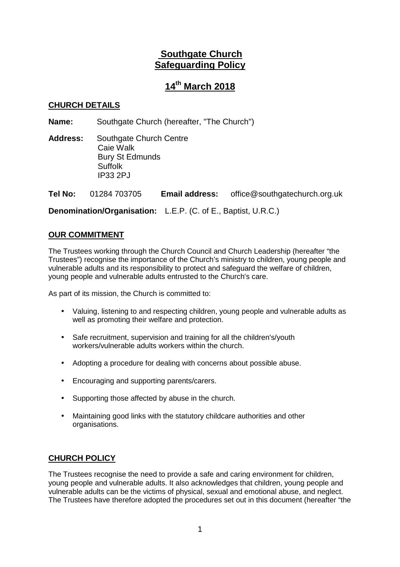# **Southgate Church Safeguarding Policy**

# **14th March 2018**

# **CHURCH DETAILS**

**Name:** Southgate Church (hereafter, "The Church")

**Address:** Southgate Church Centre Caie Walk Bury St Edmunds **Suffolk** IP33 2PJ

**Tel No:** 01284 703705 **Email address:** office@southgatechurch.org.uk

**Denomination/Organisation:** L.E.P. (C. of E., Baptist, U.R.C.)

## **OUR COMMITMENT**

The Trustees working through the Church Council and Church Leadership (hereafter "the Trustees") recognise the importance of the Church's ministry to children, young people and vulnerable adults and its responsibility to protect and safeguard the welfare of children, young people and vulnerable adults entrusted to the Church's care.

As part of its mission, the Church is committed to:

- Valuing, listening to and respecting children, young people and vulnerable adults as well as promoting their welfare and protection.
- Safe recruitment, supervision and training for all the children's/youth workers/vulnerable adults workers within the church.
- Adopting a procedure for dealing with concerns about possible abuse.
- Encouraging and supporting parents/carers.
- Supporting those affected by abuse in the church.
- Maintaining good links with the statutory childcare authorities and other organisations.

### **CHURCH POLICY**

The Trustees recognise the need to provide a safe and caring environment for children, young people and vulnerable adults. It also acknowledges that children, young people and vulnerable adults can be the victims of physical, sexual and emotional abuse, and neglect. The Trustees have therefore adopted the procedures set out in this document (hereafter "the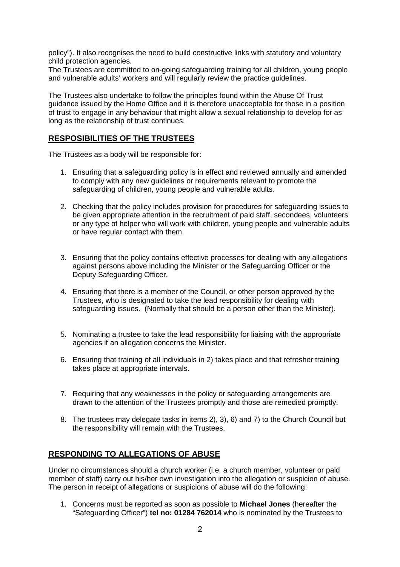policy"). It also recognises the need to build constructive links with statutory and voluntary child protection agencies.

The Trustees are committed to on-going safeguarding training for all children, young people and vulnerable adults' workers and will regularly review the practice guidelines.

The Trustees also undertake to follow the principles found within the Abuse Of Trust guidance issued by the Home Office and it is therefore unacceptable for those in a position of trust to engage in any behaviour that might allow a sexual relationship to develop for as long as the relationship of trust continues.

# **RESPOSIBILITIES OF THE TRUSTEES**

The Trustees as a body will be responsible for:

- 1. Ensuring that a safeguarding policy is in effect and reviewed annually and amended to comply with any new guidelines or requirements relevant to promote the safeguarding of children, young people and vulnerable adults.
- 2. Checking that the policy includes provision for procedures for safeguarding issues to be given appropriate attention in the recruitment of paid staff, secondees, volunteers or any type of helper who will work with children, young people and vulnerable adults or have regular contact with them.
- 3. Ensuring that the policy contains effective processes for dealing with any allegations against persons above including the Minister or the Safeguarding Officer or the Deputy Safeguarding Officer.
- 4. Ensuring that there is a member of the Council, or other person approved by the Trustees, who is designated to take the lead responsibility for dealing with safeguarding issues. (Normally that should be a person other than the Minister).
- 5. Nominating a trustee to take the lead responsibility for liaising with the appropriate agencies if an allegation concerns the Minister.
- 6. Ensuring that training of all individuals in 2) takes place and that refresher training takes place at appropriate intervals.
- 7. Requiring that any weaknesses in the policy or safeguarding arrangements are drawn to the attention of the Trustees promptly and those are remedied promptly.
- 8. The trustees may delegate tasks in items 2), 3), 6) and 7) to the Church Council but the responsibility will remain with the Trustees.

### **RESPONDING TO ALLEGATIONS OF ABUSE**

Under no circumstances should a church worker (i.e. a church member, volunteer or paid member of staff) carry out his/her own investigation into the allegation or suspicion of abuse. The person in receipt of allegations or suspicions of abuse will do the following:

1. Concerns must be reported as soon as possible to **Michael Jones** (hereafter the "Safeguarding Officer") **tel no: 01284 762014** who is nominated by the Trustees to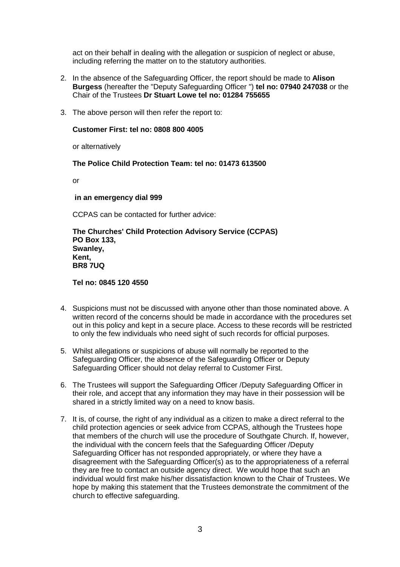act on their behalf in dealing with the allegation or suspicion of neglect or abuse, including referring the matter on to the statutory authorities.

- 2. In the absence of the Safeguarding Officer, the report should be made to **Alison Burgess** (hereafter the "Deputy Safeguarding Officer ") **tel no: 07940 247038** or the Chair of the Trustees **Dr Stuart Lowe tel no: 01284 755655**
- 3. The above person will then refer the report to:

### **Customer First: tel no: 0808 800 4005**

or alternatively

### **The Police Child Protection Team: tel no: 01473 613500**

or

### **in an emergency dial 999**

CCPAS can be contacted for further advice:

**The Churches' Child Protection Advisory Service (CCPAS) PO Box 133, Swanley, Kent, BR8 7UQ** 

**Tel no: 0845 120 4550**

- 4. Suspicions must not be discussed with anyone other than those nominated above. A written record of the concerns should be made in accordance with the procedures set out in this policy and kept in a secure place. Access to these records will be restricted to only the few individuals who need sight of such records for official purposes.
- 5. Whilst allegations or suspicions of abuse will normally be reported to the Safeguarding Officer, the absence of the Safeguarding Officer or Deputy Safeguarding Officer should not delay referral to Customer First.
- 6. The Trustees will support the Safeguarding Officer /Deputy Safeguarding Officer in their role, and accept that any information they may have in their possession will be shared in a strictly limited way on a need to know basis.
- 7. It is, of course, the right of any individual as a citizen to make a direct referral to the child protection agencies or seek advice from CCPAS, although the Trustees hope that members of the church will use the procedure of Southgate Church. If, however, the individual with the concern feels that the Safeguarding Officer /Deputy Safeguarding Officer has not responded appropriately, or where they have a disagreement with the Safeguarding Officer(s) as to the appropriateness of a referral they are free to contact an outside agency direct. We would hope that such an individual would first make his/her dissatisfaction known to the Chair of Trustees. We hope by making this statement that the Trustees demonstrate the commitment of the church to effective safeguarding.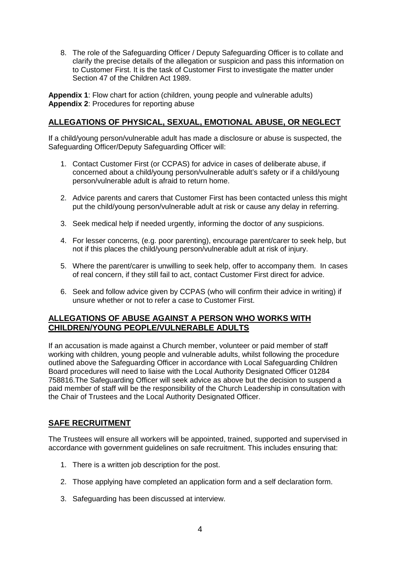8. The role of the Safeguarding Officer / Deputy Safeguarding Officer is to collate and clarify the precise details of the allegation or suspicion and pass this information on to Customer First. It is the task of Customer First to investigate the matter under Section 47 of the Children Act 1989.

**Appendix 1**: Flow chart for action (children, young people and vulnerable adults) **Appendix 2**: Procedures for reporting abuse

# **ALLEGATIONS OF PHYSICAL, SEXUAL, EMOTIONAL ABUSE, OR NEGLECT**

If a child/young person/vulnerable adult has made a disclosure or abuse is suspected, the Safeguarding Officer/Deputy Safeguarding Officer will:

- 1. Contact Customer First (or CCPAS) for advice in cases of deliberate abuse, if concerned about a child/young person/vulnerable adult's safety or if a child/young person/vulnerable adult is afraid to return home.
- 2. Advice parents and carers that Customer First has been contacted unless this might put the child/young person/vulnerable adult at risk or cause any delay in referring.
- 3. Seek medical help if needed urgently, informing the doctor of any suspicions.
- 4. For lesser concerns, (e.g. poor parenting), encourage parent/carer to seek help, but not if this places the child/young person/vulnerable adult at risk of injury.
- 5. Where the parent/carer is unwilling to seek help, offer to accompany them. In cases of real concern, if they still fail to act, contact Customer First direct for advice.
- 6. Seek and follow advice given by CCPAS (who will confirm their advice in writing) if unsure whether or not to refer a case to Customer First.

### **ALLEGATIONS OF ABUSE AGAINST A PERSON WHO WORKS WITH CHILDREN/YOUNG PEOPLE/VULNERABLE ADULTS**

If an accusation is made against a Church member, volunteer or paid member of staff working with children, young people and vulnerable adults, whilst following the procedure outlined above the Safeguarding Officer in accordance with Local Safeguarding Children Board procedures will need to liaise with the Local Authority Designated Officer 01284 758816.The Safeguarding Officer will seek advice as above but the decision to suspend a paid member of staff will be the responsibility of the Church Leadership in consultation with the Chair of Trustees and the Local Authority Designated Officer.

# **SAFE RECRUITMENT**

The Trustees will ensure all workers will be appointed, trained, supported and supervised in accordance with government guidelines on safe recruitment. This includes ensuring that:

- 1. There is a written job description for the post.
- 2. Those applying have completed an application form and a self declaration form.
- 3. Safeguarding has been discussed at interview.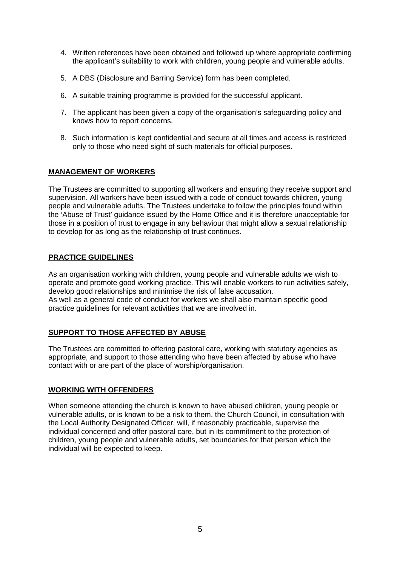- 4. Written references have been obtained and followed up where appropriate confirming the applicant's suitability to work with children, young people and vulnerable adults.
- 5. A DBS (Disclosure and Barring Service) form has been completed.
- 6. A suitable training programme is provided for the successful applicant.
- 7. The applicant has been given a copy of the organisation's safeguarding policy and knows how to report concerns.
- 8. Such information is kept confidential and secure at all times and access is restricted only to those who need sight of such materials for official purposes.

### **MANAGEMENT OF WORKERS**

The Trustees are committed to supporting all workers and ensuring they receive support and supervision. All workers have been issued with a code of conduct towards children, young people and vulnerable adults. The Trustees undertake to follow the principles found within the 'Abuse of Trust' guidance issued by the Home Office and it is therefore unacceptable for those in a position of trust to engage in any behaviour that might allow a sexual relationship to develop for as long as the relationship of trust continues.

### **PRACTICE GUIDELINES**

As an organisation working with children, young people and vulnerable adults we wish to operate and promote good working practice. This will enable workers to run activities safely, develop good relationships and minimise the risk of false accusation. As well as a general code of conduct for workers we shall also maintain specific good practice guidelines for relevant activities that we are involved in.

#### **SUPPORT TO THOSE AFFECTED BY ABUSE**

The Trustees are committed to offering pastoral care, working with statutory agencies as appropriate, and support to those attending who have been affected by abuse who have contact with or are part of the place of worship/organisation.

#### **WORKING WITH OFFENDERS**

When someone attending the church is known to have abused children, young people or vulnerable adults, or is known to be a risk to them, the Church Council, in consultation with the Local Authority Designated Officer, will, if reasonably practicable, supervise the individual concerned and offer pastoral care, but in its commitment to the protection of children, young people and vulnerable adults, set boundaries for that person which the individual will be expected to keep.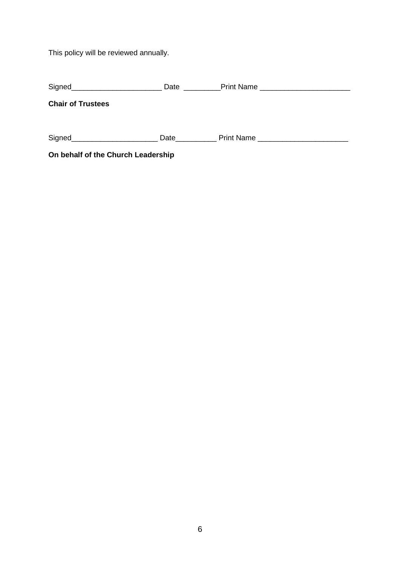This policy will be reviewed annually.

| Signed__________________________   | <b>Date Date</b> | Print Name ____________________________ |
|------------------------------------|------------------|-----------------------------------------|
| <b>Chair of Trustees</b>           |                  |                                         |
|                                    |                  |                                         |
|                                    |                  | Date <u>Print Name</u>                  |
| On behalf of the Church Leadership |                  |                                         |

6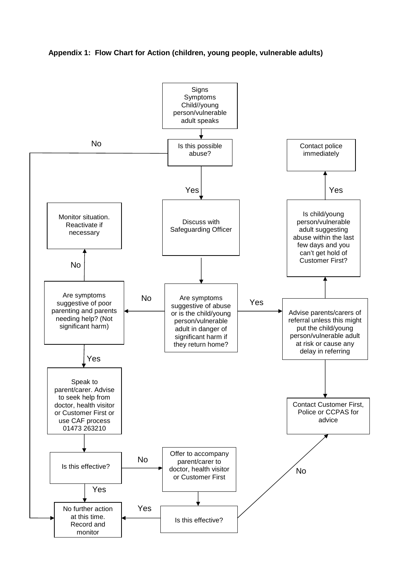### **Appendix 1: Flow Chart for Action (children, young people, vulnerable adults)**

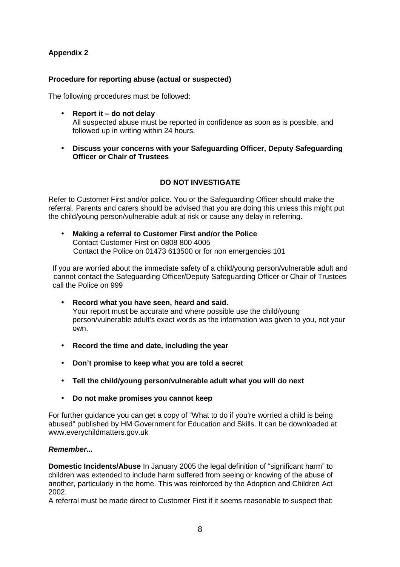# **Appendix 2**

## **Procedure for reporting abuse (actual or suspected)**

The following procedures must be followed:

- **Report it do not delay**  All suspected abuse must be reported in confidence as soon as is possible, and followed up in writing within 24 hours.
- **Discuss your concerns with your Safeguarding Officer, Deputy Safeguarding Officer or Chair of Trustees**

### **DO NOT INVESTIGATE**

Refer to Customer First and/or police. You or the Safeguarding Officer should make the referral. Parents and carers should be advised that you are doing this unless this might put the child/young person/vulnerable adult at risk or cause any delay in referring.

• **Making a referral to Customer First and/or the Police**  Contact Customer First on 0808 800 4005 Contact the Police on 01473 613500 or for non emergencies 101

If you are worried about the immediate safety of a child/young person/vulnerable adult and cannot contact the Safeguarding Officer/Deputy Safeguarding Officer or Chair of Trustees call the Police on 999

- **Record what you have seen, heard and said.**  Your report must be accurate and where possible use the child/young person/vulnerable adult's exact words as the information was given to you, not your own.
- **Record the time and date, including the year**
- **Don't promise to keep what you are told a secret**
- **Tell the child/young person/vulnerable adult what you will do next**
- **Do not make promises you cannot keep**

For further guidance you can get a copy of "What to do if you're worried a child is being abused" published by HM Government for Education and Skills. It can be downloaded at www.everychildmatters.gov.uk

### **Remember...**

**Domestic Incidents/Abuse** In January 2005 the legal definition of "significant harm" to children was extended to include harm suffered from seeing or knowing of the abuse of another, particularly in the home. This was reinforced by the Adoption and Children Act 2002.

A referral must be made direct to Customer First if it seems reasonable to suspect that: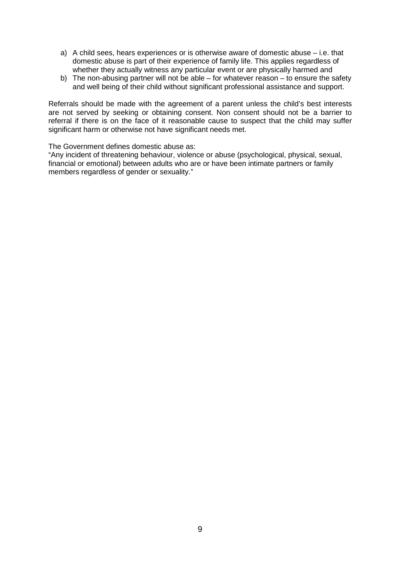- a) A child sees, hears experiences or is otherwise aware of domestic abuse i.e. that domestic abuse is part of their experience of family life. This applies regardless of whether they actually witness any particular event or are physically harmed and
- b) The non-abusing partner will not be able for whatever reason to ensure the safety and well being of their child without significant professional assistance and support.

Referrals should be made with the agreement of a parent unless the child's best interests are not served by seeking or obtaining consent. Non consent should not be a barrier to referral if there is on the face of it reasonable cause to suspect that the child may suffer significant harm or otherwise not have significant needs met.

The Government defines domestic abuse as:

"Any incident of threatening behaviour, violence or abuse (psychological, physical, sexual, financial or emotional) between adults who are or have been intimate partners or family members regardless of gender or sexuality."